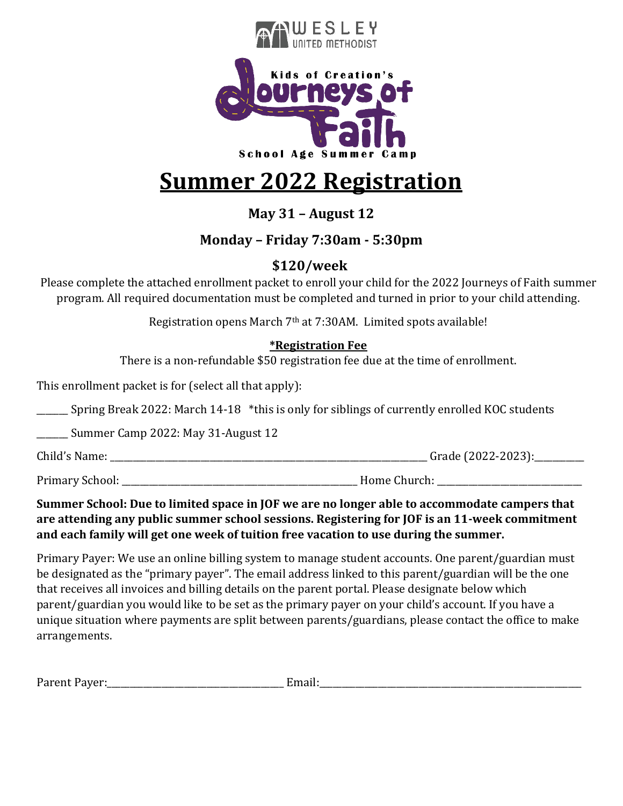

# **Summer 2022 Registration**

**May 31 – August 12**

## **Monday – Friday 7:30am - 5:30pm**

## **\$120/week**

Please complete the attached enrollment packet to enroll your child for the 2022 Journeys of Faith summer program. All required documentation must be completed and turned in prior to your child attending.

Registration opens March 7th at 7:30AM. Limited spots available!

### **\*Registration Fee**

There is a non-refundable \$50 registration fee due at the time of enrollment.

This enrollment packet is for (select all that apply):

\_\_\_\_\_\_\_ Spring Break 2022: March 14-18 \*this is only for siblings of currently enrolled KOC students

\_\_\_\_\_\_\_ Summer Camp 2022: May 31-August 12

Child's Name: \_\_\_\_\_\_\_\_\_\_\_\_\_\_\_\_\_\_\_\_\_\_\_\_\_\_\_\_\_\_\_\_\_\_\_\_\_\_\_\_\_\_\_\_\_\_\_\_\_\_\_\_\_\_\_\_\_\_\_\_\_\_\_\_\_\_\_\_\_\_ Grade (2022-2023):\_\_\_\_\_\_\_\_\_\_\_

Primary School: \_\_\_\_\_\_\_\_\_\_\_\_\_\_\_\_\_\_\_\_\_\_\_\_\_\_\_\_\_\_\_\_\_\_\_\_\_\_\_\_\_\_\_\_\_\_\_\_\_\_\_\_ Home Church: \_\_\_\_\_\_\_\_\_\_\_\_\_\_\_\_\_\_\_\_\_\_\_\_\_\_\_\_\_\_\_\_

### **Summer School: Due to limited space in JOF we are no longer able to accommodate campers that are attending any public summer school sessions. Registering for JOF is an 11-week commitment and each family will get one week of tuition free vacation to use during the summer.**

Primary Payer: We use an online billing system to manage student accounts. One parent/guardian must be designated as the "primary payer". The email address linked to this parent/guardian will be the one that receives all invoices and billing details on the parent portal. Please designate below which parent/guardian you would like to be set as the primary payer on your child's account. If you have a unique situation where payments are split between parents/guardians, please contact the office to make arrangements.

| $D_{\Omega}$<br>$T$ dicines $\frac{1}{2}$ | and the company of the company of the company of the company of the company of the company of the company of the |
|-------------------------------------------|------------------------------------------------------------------------------------------------------------------|
|-------------------------------------------|------------------------------------------------------------------------------------------------------------------|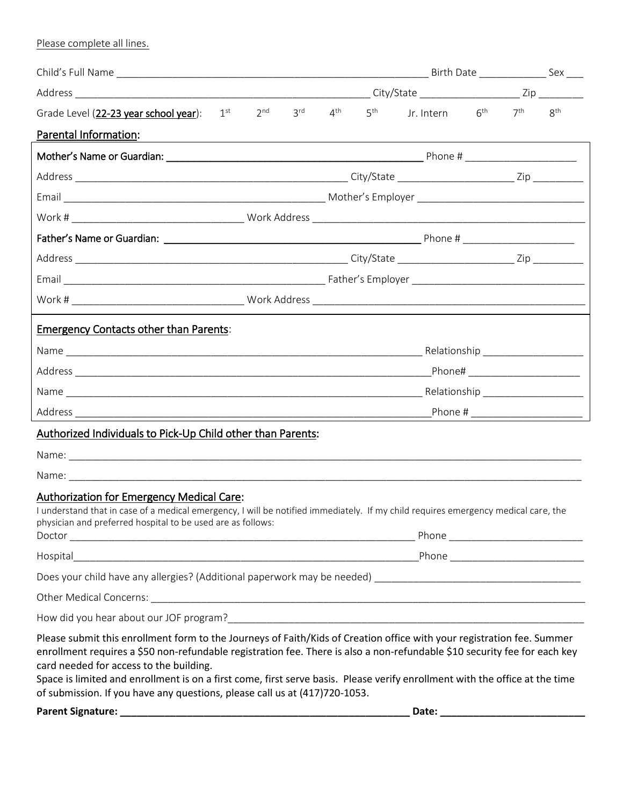Please complete all lines.

| Grade Level (22-23 year school year): $1^{st}$ $2^{nd}$ $3^{rd}$ $4^{th}$ $5^{th}$                                                                                                                                                                                                                                                                                                                                                                                                                          |  |  |  |  | Jr. Intern $6^{\text{th}}$ $7^{\text{th}}$ $8^{\text{th}}$ |  |  |  |  |
|-------------------------------------------------------------------------------------------------------------------------------------------------------------------------------------------------------------------------------------------------------------------------------------------------------------------------------------------------------------------------------------------------------------------------------------------------------------------------------------------------------------|--|--|--|--|------------------------------------------------------------|--|--|--|--|
| Parental Information:                                                                                                                                                                                                                                                                                                                                                                                                                                                                                       |  |  |  |  |                                                            |  |  |  |  |
|                                                                                                                                                                                                                                                                                                                                                                                                                                                                                                             |  |  |  |  |                                                            |  |  |  |  |
|                                                                                                                                                                                                                                                                                                                                                                                                                                                                                                             |  |  |  |  |                                                            |  |  |  |  |
|                                                                                                                                                                                                                                                                                                                                                                                                                                                                                                             |  |  |  |  |                                                            |  |  |  |  |
|                                                                                                                                                                                                                                                                                                                                                                                                                                                                                                             |  |  |  |  |                                                            |  |  |  |  |
|                                                                                                                                                                                                                                                                                                                                                                                                                                                                                                             |  |  |  |  |                                                            |  |  |  |  |
|                                                                                                                                                                                                                                                                                                                                                                                                                                                                                                             |  |  |  |  |                                                            |  |  |  |  |
|                                                                                                                                                                                                                                                                                                                                                                                                                                                                                                             |  |  |  |  |                                                            |  |  |  |  |
|                                                                                                                                                                                                                                                                                                                                                                                                                                                                                                             |  |  |  |  |                                                            |  |  |  |  |
| <b>Emergency Contacts other than Parents:</b>                                                                                                                                                                                                                                                                                                                                                                                                                                                               |  |  |  |  |                                                            |  |  |  |  |
|                                                                                                                                                                                                                                                                                                                                                                                                                                                                                                             |  |  |  |  |                                                            |  |  |  |  |
|                                                                                                                                                                                                                                                                                                                                                                                                                                                                                                             |  |  |  |  |                                                            |  |  |  |  |
|                                                                                                                                                                                                                                                                                                                                                                                                                                                                                                             |  |  |  |  |                                                            |  |  |  |  |
|                                                                                                                                                                                                                                                                                                                                                                                                                                                                                                             |  |  |  |  |                                                            |  |  |  |  |
| Authorized Individuals to Pick-Up Child other than Parents:                                                                                                                                                                                                                                                                                                                                                                                                                                                 |  |  |  |  |                                                            |  |  |  |  |
|                                                                                                                                                                                                                                                                                                                                                                                                                                                                                                             |  |  |  |  |                                                            |  |  |  |  |
|                                                                                                                                                                                                                                                                                                                                                                                                                                                                                                             |  |  |  |  |                                                            |  |  |  |  |
| Authorization for Emergency Medical Care:<br>I understand that in case of a medical emergency, I will be notified immediately. If my child requires emergency medical care, the<br>physician and preferred hospital to be used are as follows:                                                                                                                                                                                                                                                              |  |  |  |  |                                                            |  |  |  |  |
|                                                                                                                                                                                                                                                                                                                                                                                                                                                                                                             |  |  |  |  |                                                            |  |  |  |  |
|                                                                                                                                                                                                                                                                                                                                                                                                                                                                                                             |  |  |  |  |                                                            |  |  |  |  |
|                                                                                                                                                                                                                                                                                                                                                                                                                                                                                                             |  |  |  |  |                                                            |  |  |  |  |
|                                                                                                                                                                                                                                                                                                                                                                                                                                                                                                             |  |  |  |  |                                                            |  |  |  |  |
| Please submit this enrollment form to the Journeys of Faith/Kids of Creation office with your registration fee. Summer<br>enrollment requires a \$50 non-refundable registration fee. There is also a non-refundable \$10 security fee for each key<br>card needed for access to the building.<br>Space is limited and enrollment is on a first come, first serve basis. Please verify enrollment with the office at the time<br>of submission. If you have any questions, please call us at (417)720-1053. |  |  |  |  |                                                            |  |  |  |  |
|                                                                                                                                                                                                                                                                                                                                                                                                                                                                                                             |  |  |  |  |                                                            |  |  |  |  |